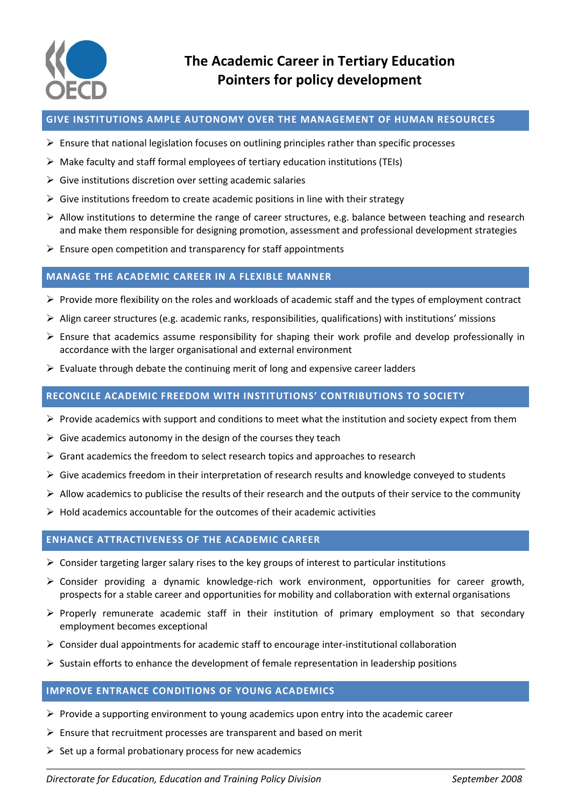

#### **GIVE INSTITUTIONS AMPLE AUTONOMY OVER THE MANAGEMENT OF HUMAN RESOURCES**

- $\triangleright$  Ensure that national legislation focuses on outlining principles rather than specific processes
- $\triangleright$  Make faculty and staff formal employees of tertiary education institutions (TEIs)
- $\triangleright$  Give institutions discretion over setting academic salaries
- $\triangleright$  Give institutions freedom to create academic positions in line with their strategy
- $\triangleright$  Allow institutions to determine the range of career structures, e.g. balance between teaching and research and make them responsible for designing promotion, assessment and professional development strategies
- $\triangleright$  Ensure open competition and transparency for staff appointments

# **MANAGE THE ACADEMIC CAREER IN A FLEXIBLE MANNER**

- $\triangleright$  Provide more flexibility on the roles and workloads of academic staff and the types of employment contract
- $\triangleright$  Align career structures (e.g. academic ranks, responsibilities, qualifications) with institutions' missions
- $\triangleright$  Ensure that academics assume responsibility for shaping their work profile and develop professionally in accordance with the larger organisational and external environment
- $\triangleright$  Evaluate through debate the continuing merit of long and expensive career ladders

# **RECONCILE ACADEMIC FREEDOM WITH INSTITUTIONS' CONTRIBUTIONS TO SOCIETY**

- $\triangleright$  Provide academics with support and conditions to meet what the institution and society expect from them
- $\triangleright$  Give academics autonomy in the design of the courses they teach
- $\triangleright$  Grant academics the freedom to select research topics and approaches to research
- $\triangleright$  Give academics freedom in their interpretation of research results and knowledge conveyed to students
- $\triangleright$  Allow academics to publicise the results of their research and the outputs of their service to the community
- $\triangleright$  Hold academics accountable for the outcomes of their academic activities

# **ENHANCE ATTRACTIVENESS OF THE ACADEMIC CAREER**

- $\triangleright$  Consider targeting larger salary rises to the key groups of interest to particular institutions
- Consider providing a dynamic knowledge-rich work environment, opportunities for career growth, prospects for a stable career and opportunities for mobility and collaboration with external organisations
- $\triangleright$  Properly remunerate academic staff in their institution of primary employment so that secondary employment becomes exceptional
- $\triangleright$  Consider dual appointments for academic staff to encourage inter-institutional collaboration
- $\triangleright$  Sustain efforts to enhance the development of female representation in leadership positions

# **IMPROVE ENTRANCE CONDITIONS OF YOUNG ACADEMICS**

- $\triangleright$  Provide a supporting environment to young academics upon entry into the academic career
- $\triangleright$  Ensure that recruitment processes are transparent and based on merit
- $\triangleright$  Set up a formal probationary process for new academics